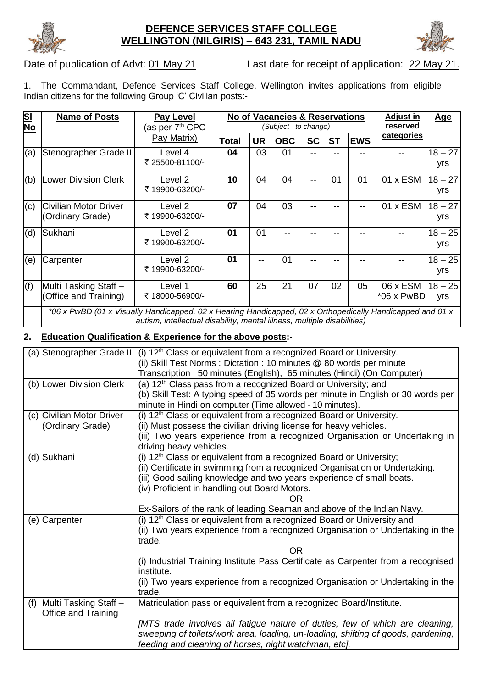

#### **DEFENCE SERVICES STAFF COLLEGE WELLINGTON (NILGIRIS) – 643 231, TAMIL NADU**



Date of publication of Advt: 01 May 21 Last date for receipt of application: 22 May 21.

1. The Commandant, Defence Services Staff College, Wellington invites applications from eligible Indian citizens for the following Group 'C' Civilian posts:

| <u>SI</u><br>No | <b>Name of Posts</b>                                                                                                                                                                 | <b>Pay Level</b><br>(as per 7 <sup>th</sup> CPC | <b>No of Vacancies &amp; Reservations</b><br>(Subject to change) |           |            |           |           | <b>Adjust in</b><br>reserved | <b>Age</b>                    |                  |
|-----------------|--------------------------------------------------------------------------------------------------------------------------------------------------------------------------------------|-------------------------------------------------|------------------------------------------------------------------|-----------|------------|-----------|-----------|------------------------------|-------------------------------|------------------|
|                 |                                                                                                                                                                                      | Pay Matrix)                                     | <b>Total</b>                                                     | <b>UR</b> | <b>OBC</b> | <b>SC</b> | <b>ST</b> | <b>EWS</b>                   | categories                    |                  |
| (a)             | Stenographer Grade II                                                                                                                                                                | Level 4<br>₹ 25500-81100/-                      | 04                                                               | 03        | 01         | --        |           |                              |                               | $18 - 27$<br>yrs |
| (b)             | <b>Lower Division Clerk</b>                                                                                                                                                          | Level 2<br>₹19900-63200/-                       | 10                                                               | 04        | 04         | --        | 01        | 01                           | $01 \times$ ESM               | $18 - 27$<br>yrs |
| (c)             | <b>Civilian Motor Driver</b><br>(Ordinary Grade)                                                                                                                                     | Level 2<br>₹19900-63200/-                       | 07                                                               | 04        | 03         |           |           |                              | $01 \times$ ESM               | $18 - 27$<br>yrs |
| (d)             | Sukhani                                                                                                                                                                              | Level 2<br>₹ 19900-63200/-                      | 01                                                               | 01        |            |           |           |                              |                               | $18 - 25$<br>yrs |
| (e)             | Carpenter                                                                                                                                                                            | Level 2<br>₹ 19900-63200/-                      | 01                                                               |           | 01         |           |           |                              |                               | $18 - 25$<br>yrs |
| (f)             | Multi Tasking Staff-<br>(Office and Training)                                                                                                                                        | Level 1<br>₹18000-56900/-                       | 60                                                               | 25        | 21         | 07        | 02        | 05                           | 06 x ESM<br>$*06 \times PwBD$ | $18 - 25$<br>yrs |
|                 | *06 x PwBD (01 x Visually Handicapped, 02 x Hearing Handicapped, 02 x Orthopedically Handicapped and 01 x<br>autism, intellectual disability, mental illness, multiple disabilities) |                                                 |                                                                  |           |            |           |           |                              |                               |                  |

#### **2. Education Qualification & Experience for the above posts:-**

| (a) Stenographer Grade II | (i) 12 <sup>th</sup> Class or equivalent from a recognized Board or University.                 |  |  |  |  |  |  |
|---------------------------|-------------------------------------------------------------------------------------------------|--|--|--|--|--|--|
|                           | (ii) Skill Test Norms: Dictation: 10 minutes @ 80 words per minute                              |  |  |  |  |  |  |
|                           | Transcription: 50 minutes (English), 65 minutes (Hindi) (On Computer)                           |  |  |  |  |  |  |
| (b) Lower Division Clerk  | (a) 12 <sup>th</sup> Class pass from a recognized Board or University; and                      |  |  |  |  |  |  |
|                           | (b) Skill Test: A typing speed of 35 words per minute in English or 30 words per                |  |  |  |  |  |  |
|                           | minute in Hindi on computer (Time allowed - 10 minutes).                                        |  |  |  |  |  |  |
| (c) Civilian Motor Driver | (i) 12 <sup>th</sup> Class or equivalent from a recognized Board or University.                 |  |  |  |  |  |  |
| (Ordinary Grade)          | (ii) Must possess the civilian driving license for heavy vehicles.                              |  |  |  |  |  |  |
|                           | (iii) Two years experience from a recognized Organisation or Undertaking in                     |  |  |  |  |  |  |
|                           | driving heavy vehicles.                                                                         |  |  |  |  |  |  |
| (d) Sukhani               | (i) $12th$ Class or equivalent from a recognized Board or University;                           |  |  |  |  |  |  |
|                           | (ii) Certificate in swimming from a recognized Organisation or Undertaking.                     |  |  |  |  |  |  |
|                           | (iii) Good sailing knowledge and two years experience of small boats.                           |  |  |  |  |  |  |
|                           | (iv) Proficient in handling out Board Motors.                                                   |  |  |  |  |  |  |
|                           | ΩR                                                                                              |  |  |  |  |  |  |
|                           | Ex-Sailors of the rank of leading Seaman and above of the Indian Navy.                          |  |  |  |  |  |  |
| (e) Carpenter             | (i) $12th$ Class or equivalent from a recognized Board or University and                        |  |  |  |  |  |  |
|                           | (ii) Two years experience from a recognized Organisation or Undertaking in the                  |  |  |  |  |  |  |
|                           | trade.                                                                                          |  |  |  |  |  |  |
|                           | OR.                                                                                             |  |  |  |  |  |  |
|                           | (i) Industrial Training Institute Pass Certificate as Carpenter from a recognised<br>institute. |  |  |  |  |  |  |
|                           | (ii) Two years experience from a recognized Organisation or Undertaking in the                  |  |  |  |  |  |  |
|                           | trade.                                                                                          |  |  |  |  |  |  |
| (f) Multi Tasking Staff - | Matriculation pass or equivalent from a recognized Board/Institute.                             |  |  |  |  |  |  |
| Office and Training       |                                                                                                 |  |  |  |  |  |  |
|                           | [MTS trade involves all fatigue nature of duties, few of which are cleaning,                    |  |  |  |  |  |  |
|                           | sweeping of toilets/work area, loading, un-loading, shifting of goods, gardening,               |  |  |  |  |  |  |
|                           | feeding and cleaning of horses, night watchman, etc].                                           |  |  |  |  |  |  |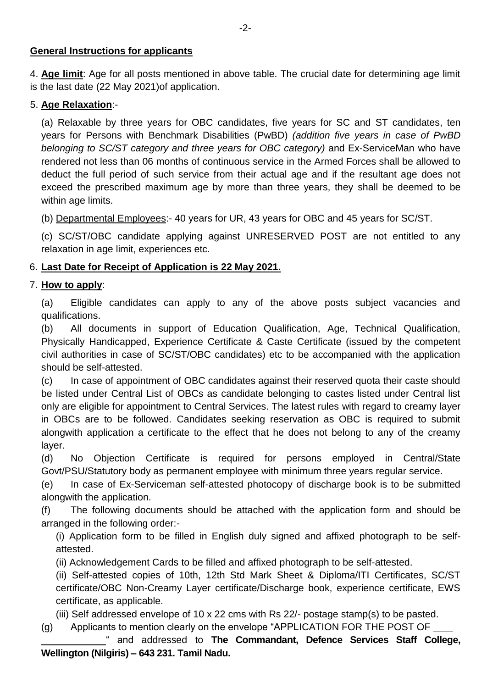#### **General Instructions for applicants**

4. **Age limit**: Age for all posts mentioned in above table. The crucial date for determining age limit is the last date (22 May 2021)of application.

### 5. **Age Relaxation**:-

(a) Relaxable by three years for OBC candidates, five years for SC and ST candidates, ten years for Persons with Benchmark Disabilities (PwBD) *(addition five years in case of PwBD belonging to SC/ST category and three years for OBC category)* and Ex-ServiceMan who have rendered not less than 06 months of continuous service in the Armed Forces shall be allowed to deduct the full period of such service from their actual age and if the resultant age does not exceed the prescribed maximum age by more than three years, they shall be deemed to be within age limits.

(b) Departmental Employees:- 40 years for UR, 43 years for OBC and 45 years for SC/ST.

(c) SC/ST/OBC candidate applying against UNRESERVED POST are not entitled to any relaxation in age limit, experiences etc.

## 6. **Last Date for Receipt of Application is 22 May 2021.**

## 7. **How to apply**:

(a) Eligible candidates can apply to any of the above posts subject vacancies and qualifications.

(b) All documents in support of Education Qualification, Age, Technical Qualification, Physically Handicapped, Experience Certificate & Caste Certificate (issued by the competent civil authorities in case of SC/ST/OBC candidates) etc to be accompanied with the application should be self-attested.

(c) In case of appointment of OBC candidates against their reserved quota their caste should be listed under Central List of OBCs as candidate belonging to castes listed under Central list only are eligible for appointment to Central Services. The latest rules with regard to creamy layer in OBCs are to be followed. Candidates seeking reservation as OBC is required to submit alongwith application a certificate to the effect that he does not belong to any of the creamy layer.

(d) No Objection Certificate is required for persons employed in Central/State Govt/PSU/Statutory body as permanent employee with minimum three years regular service.

(e) In case of Ex-Serviceman self-attested photocopy of discharge book is to be submitted alongwith the application.

(f) The following documents should be attached with the application form and should be arranged in the following order:-

(i) Application form to be filled in English duly signed and affixed photograph to be selfattested.

(ii) Acknowledgement Cards to be filled and affixed photograph to be self-attested.

(ii) Self-attested copies of 10th, 12th Std Mark Sheet & Diploma/ITI Certificates, SC/ST certificate/OBC Non-Creamy Layer certificate/Discharge book, experience certificate, EWS certificate, as applicable.

(iii) Self addressed envelope of 10 x 22 cms with Rs 22/- postage stamp(s) to be pasted.

(g) Applicants to mention clearly on the envelope "APPLICATION FOR THE POST OF

 " and addressed to **The Commandant, Defence Services Staff College, Wellington (Nilgiris) – 643 231. Tamil Nadu.**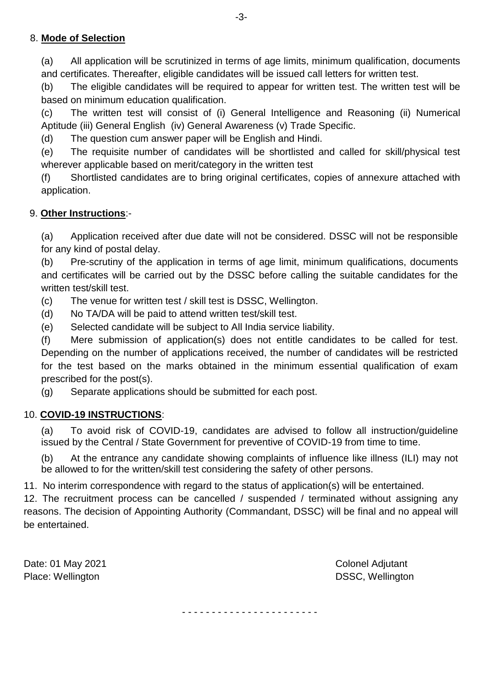## 8. **Mode of Selection**

(a) All application will be scrutinized in terms of age limits, minimum qualification, documents and certificates. Thereafter, eligible candidates will be issued call letters for written test.

(b) The eligible candidates will be required to appear for written test. The written test will be based on minimum education qualification.

(c) The written test will consist of (i) General Intelligence and Reasoning (ii) Numerical Aptitude (iii) General English (iv) General Awareness (v) Trade Specific.

(d) The question cum answer paper will be English and Hindi.

(e) The requisite number of candidates will be shortlisted and called for skill/physical test wherever applicable based on merit/category in the written test

(f) Shortlisted candidates are to bring original certificates, copies of annexure attached with application.

## 9. **Other Instructions**:-

(a) Application received after due date will not be considered. DSSC will not be responsible for any kind of postal delay.

(b) Pre-scrutiny of the application in terms of age limit, minimum qualifications, documents and certificates will be carried out by the DSSC before calling the suitable candidates for the written test/skill test.

(c) The venue for written test / skill test is DSSC, Wellington.

(d) No TA/DA will be paid to attend written test/skill test.

(e) Selected candidate will be subject to All India service liability.

(f) Mere submission of application(s) does not entitle candidates to be called for test. Depending on the number of applications received, the number of candidates will be restricted for the test based on the marks obtained in the minimum essential qualification of exam prescribed for the post(s).

(g) Separate applications should be submitted for each post.

## 10. **COVID-19 INSTRUCTIONS**:

(a) To avoid risk of COVID-19, candidates are advised to follow all instruction/guideline issued by the Central / State Government for preventive of COVID-19 from time to time.

(b) At the entrance any candidate showing complaints of influence like illness (ILI) may not be allowed to for the written/skill test considering the safety of other persons.

11. No interim correspondence with regard to the status of application(s) will be entertained.

12. The recruitment process can be cancelled / suspended / terminated without assigning any reasons. The decision of Appointing Authority (Commandant, DSSC) will be final and no appeal will be entertained.

Date: 01 May 2021 **Colonel Adjutant** Place: Wellington **DSSC, Wellington** 

- - - - - - - - - - - - - - - - - - - - - - -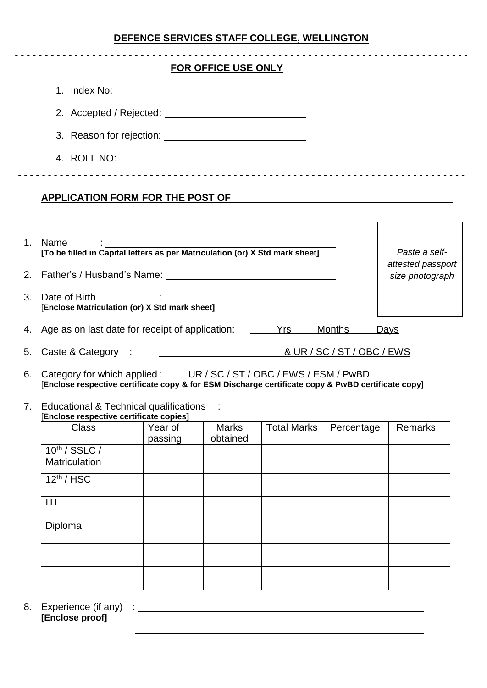# **DEFENCE SERVICES STAFF COLLEGE, WELLINGTON**

|         |                                                                                                                                                                                                                                |                    | <b>FOR OFFICE USE ONLY</b>           |                    |            |                                               |  |
|---------|--------------------------------------------------------------------------------------------------------------------------------------------------------------------------------------------------------------------------------|--------------------|--------------------------------------|--------------------|------------|-----------------------------------------------|--|
|         |                                                                                                                                                                                                                                |                    |                                      |                    |            |                                               |  |
|         |                                                                                                                                                                                                                                |                    |                                      |                    |            |                                               |  |
|         |                                                                                                                                                                                                                                |                    |                                      |                    |            |                                               |  |
|         |                                                                                                                                                                                                                                |                    |                                      |                    |            |                                               |  |
|         | <b>APPLICATION FORM FOR THE POST OF</b>                                                                                                                                                                                        |                    |                                      |                    |            | <u> 1980 - Andrea Andrew Maria (h. 1980).</u> |  |
| $1_{-}$ | Name<br>list in the matrice of the filled in Capital letters as per Matriculation (or) X Std mark sheet]                                                                                                                       |                    |                                      |                    |            | Paste a self-                                 |  |
| 2.      | Father's / Husband's Name: The contract of the contract of the contract of the contract of the contract of the contract of the contract of the contract of the contract of the contract of the contract of the contract of the |                    | attested passport<br>size photograph |                    |            |                                               |  |
| 3.      | <u> 1980 - Johann Barn, mars an t-Amerikaansk politiker (</u><br>Date of Birth<br>[Enclose Matriculation (or) X Std mark sheet]                                                                                                |                    |                                      |                    |            |                                               |  |
| 4.      | Age as on last date for receipt of application: The Massimum Mrs                                                                                                                                                               |                    |                                      |                    | Months     | <b>Days</b>                                   |  |
| 5.      |                                                                                                                                                                                                                                |                    |                                      |                    |            |                                               |  |
| 6.      | Category for which applied: UR / SC / ST / OBC / EWS / ESM / PwBD<br>[Enclose respective certificate copy & for ESM Discharge certificate copy & PwBD certificate copy]                                                        |                    |                                      |                    |            |                                               |  |
|         | 7. Educational & Technical qualifications<br>Enclose respective certificate copies]                                                                                                                                            |                    |                                      |                    |            |                                               |  |
|         | <b>Class</b>                                                                                                                                                                                                                   | Year of<br>passing | <b>Marks</b><br>obtained             | <b>Total Marks</b> | Percentage | <b>Remarks</b>                                |  |
|         | 10 <sup>th</sup> / SSLC /<br>Matriculation                                                                                                                                                                                     |                    |                                      |                    |            |                                               |  |
|         | $12th$ / HSC                                                                                                                                                                                                                   |                    |                                      |                    |            |                                               |  |
|         | T                                                                                                                                                                                                                              |                    |                                      |                    |            |                                               |  |
|         | Diploma                                                                                                                                                                                                                        |                    |                                      |                    |            |                                               |  |
|         |                                                                                                                                                                                                                                |                    |                                      |                    |            |                                               |  |

8. Experience (if any) : **[Enclose proof]**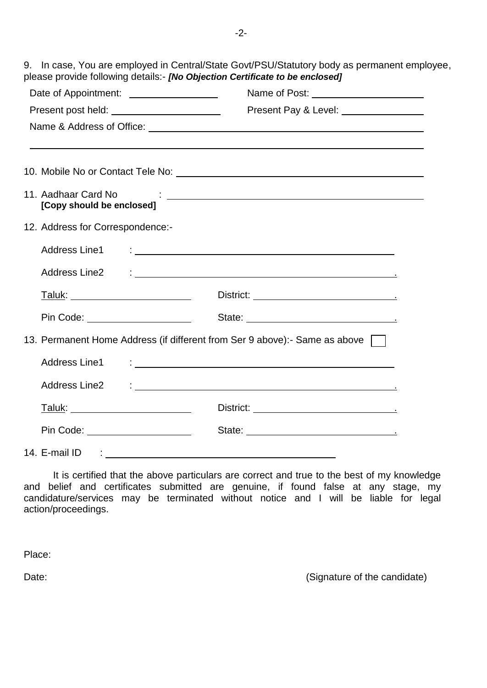9. In case, You are employed in Central/State Govt/PSU/Statutory body as permanent employee, please provide following details:- *[No Objection Certificate to be enclosed]*

| Date of Appointment:                   |                                                                                                                                                                                                                                |  |  |  |  |  |  |
|----------------------------------------|--------------------------------------------------------------------------------------------------------------------------------------------------------------------------------------------------------------------------------|--|--|--|--|--|--|
|                                        | Present Pay & Level: ________________                                                                                                                                                                                          |  |  |  |  |  |  |
|                                        |                                                                                                                                                                                                                                |  |  |  |  |  |  |
|                                        |                                                                                                                                                                                                                                |  |  |  |  |  |  |
|                                        |                                                                                                                                                                                                                                |  |  |  |  |  |  |
| [Copy should be enclosed]              | 11. Aadhaar Card No contact and the contact of the contact of the contact of the contact of the contact of the contact of the contact of the contact of the contact of the contact of the contact of the contact of the contac |  |  |  |  |  |  |
| 12. Address for Correspondence:-       |                                                                                                                                                                                                                                |  |  |  |  |  |  |
|                                        |                                                                                                                                                                                                                                |  |  |  |  |  |  |
|                                        |                                                                                                                                                                                                                                |  |  |  |  |  |  |
| <u>Taluk: ________________________</u> |                                                                                                                                                                                                                                |  |  |  |  |  |  |
| Pin Code: ____________________         | State: <u>_________________________________</u>                                                                                                                                                                                |  |  |  |  |  |  |
|                                        | 13. Permanent Home Address (if different from Ser 9 above):- Same as above                                                                                                                                                     |  |  |  |  |  |  |
| <b>Address Line1</b>                   |                                                                                                                                                                                                                                |  |  |  |  |  |  |
|                                        |                                                                                                                                                                                                                                |  |  |  |  |  |  |
|                                        |                                                                                                                                                                                                                                |  |  |  |  |  |  |
| Pin Code: _______________________      |                                                                                                                                                                                                                                |  |  |  |  |  |  |
| 14. E-mail ID : _________              |                                                                                                                                                                                                                                |  |  |  |  |  |  |

It is certified that the above particulars are correct and true to the best of my knowledge and belief and certificates submitted are genuine, if found false at any stage, my candidature/services may be terminated without notice and I will be liable for legal action/proceedings.

Place:

Date: Contract Contract Contract Contract Contract Contract Contract Contract Contract Contract Contract Contract Contract Contract Contract Contract Contract Contract Contract Contract Contract Contract Contract Contract